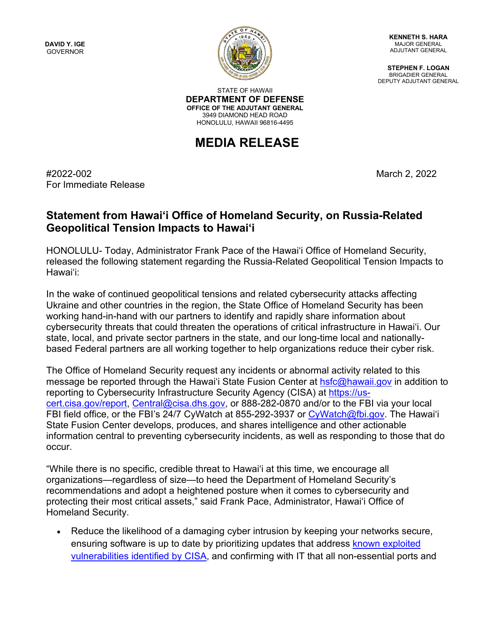**DAVID Y. IGE** GOVERNOR



**KENNETH S. HARA** MAJOR GENERAL ADJUTANT GENERAL

**STEPHEN F. LOGAN** BRIGADIER GENERAL DEPUTY ADJUTANT GENERAL

STATE OF HAWAII **DEPARTMENT OF DEFENSE OFFICE OF THE ADJUTANT GENERAL** 3949 DIAMOND HEAD ROAD HONOLULU, HAWAII 96816-4495

## **MEDIA RELEASE**

#2022-002 March 2, 2022 For Immediate Release

## **Statement from Hawaiʻi Office of Homeland Security, on Russia-Related Geopolitical Tension Impacts to Hawai'i**

HONOLULU- Today, Administrator Frank Pace of the Hawaiʻi Office of Homeland Security, released the following statement regarding the Russia-Related Geopolitical Tension Impacts to Hawai'i:

In the wake of continued geopolitical tensions and related cybersecurity attacks affecting Ukraine and other countries in the region, the State Office of Homeland Security has been working hand-in-hand with our partners to identify and rapidly share information about cybersecurity threats that could threaten the operations of critical infrastructure in Hawai'i. Our state, local, and private sector partners in the state, and our long-time local and nationallybased Federal partners are all working together to help organizations reduce their cyber risk.

The Office of Homeland Security request any incidents or abnormal activity related to this message be reported through the Hawai'i State Fusion Center at [hsfc@hawaii.gov](mailto:hsfc@hawaii.gov) in addition to reporting to Cybersecurity Infrastructure Security Agency (CISA) at [https://us](https://urldefense.com/v3/__https:/us-cert.cisa.gov/report__;!!LIYSdFfckKA!j10nFti4173FzqjSMeTGyH1vPX_m2C9wYDv9kXVWH_qQG1eMqfeCTCq17zW7bGkHkGau24iO$)[cert.cisa.gov/report,](https://urldefense.com/v3/__https:/us-cert.cisa.gov/report__;!!LIYSdFfckKA!j10nFti4173FzqjSMeTGyH1vPX_m2C9wYDv9kXVWH_qQG1eMqfeCTCq17zW7bGkHkGau24iO$) [Central@cisa.dhs.gov,](mailto:Central@cisa.dhs.gov) or 888-282-0870 and/or to the FBI via your local FBI field office, or the FBI's 24/7 CyWatch at 855-292-3937 or [CyWatch@fbi.gov.](mailto:CyWatch@fbi.gov) The Hawai'i State Fusion Center develops, produces, and shares intelligence and other actionable information central to preventing cybersecurity incidents, as well as responding to those that do occur.

"While there is no specific, credible threat to Hawai'i at this time, we encourage all organizations—regardless of size—to heed the Department of Homeland Security's recommendations and adopt a heightened posture when it comes to cybersecurity and protecting their most critical assets," said Frank Pace, Administrator, Hawai'i Office of Homeland Security.

• Reduce the likelihood of a damaging cyber intrusion by keeping your networks secure, ensuring software is up to date by prioritizing updates that address known exploited [vulnerabilities identified by CISA,](https://urldefense.com/v3/__https:/www.cisa.gov/known-exploited-vulnerabilities-catalog__;!!LIYSdFfckKA!j10nFti4173FzqjSMeTGyH1vPX_m2C9wYDv9kXVWH_qQG1eMqfeCTCq17zW7bGkHkJTSp1RT$) and confirming with IT that all non-essential ports and